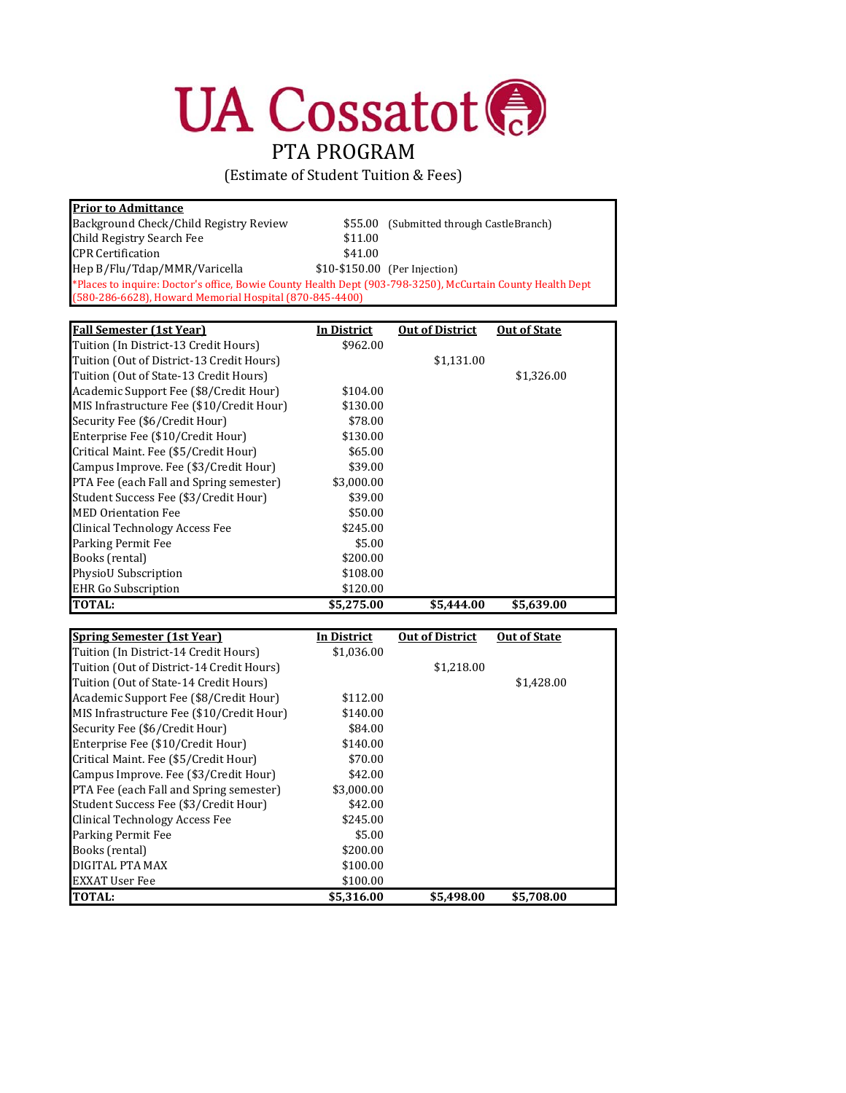## **UA Cossatot** PTA PROGRAM

(Estimate of Student Tuition & Fees)

| <b>Prior to Admittance</b>                                                                                 |         |                                  |
|------------------------------------------------------------------------------------------------------------|---------|----------------------------------|
| Background Check/Child Registry Review                                                                     | \$55.00 | (Submitted through CastleBranch) |
| Child Registry Search Fee                                                                                  | \$11.00 |                                  |
| <b>CPR Certification</b>                                                                                   | \$41.00 |                                  |
| Hep B/Flu/Tdap/MMR/Varicella                                                                               |         | \$10-\$150.00 (Per Injection)    |
| *Places to inquire: Doctor's office, Bowie County Health Dept (903-798-3250), McCurtain County Health Dept |         |                                  |
| (580-286-6628), Howard Memorial Hospital (870-845-4400)                                                    |         |                                  |

| <b>Fall Semester (1st Year)</b>           | In District | <b>Out of District</b> | <b>Out of State</b> |
|-------------------------------------------|-------------|------------------------|---------------------|
| Tuition (In District-13 Credit Hours)     | \$962.00    |                        |                     |
| Tuition (Out of District-13 Credit Hours) |             | \$1,131.00             |                     |
| Tuition (Out of State-13 Credit Hours)    |             |                        | \$1,326.00          |
| Academic Support Fee (\$8/Credit Hour)    | \$104.00    |                        |                     |
| MIS Infrastructure Fee (\$10/Credit Hour) | \$130.00    |                        |                     |
| Security Fee (\$6/Credit Hour)            | \$78.00     |                        |                     |
| Enterprise Fee (\$10/Credit Hour)         | \$130.00    |                        |                     |
| Critical Maint. Fee (\$5/Credit Hour)     | \$65.00     |                        |                     |
| Campus Improve. Fee (\$3/Credit Hour)     | \$39.00     |                        |                     |
| PTA Fee (each Fall and Spring semester)   | \$3,000.00  |                        |                     |
| Student Success Fee (\$3/Credit Hour)     | \$39.00     |                        |                     |
| <b>MED Orientation Fee</b>                | \$50.00     |                        |                     |
| Clinical Technology Access Fee            | \$245.00    |                        |                     |
| Parking Permit Fee                        | \$5.00      |                        |                     |
| Books (rental)                            | \$200.00    |                        |                     |
| <b>PhysioU</b> Subscription               | \$108.00    |                        |                     |
| <b>EHR</b> Go Subscription                | \$120.00    |                        |                     |
| <b>TOTAL:</b>                             | \$5.275.00  | \$5.444.00             | \$5,639.00          |

| <b>Spring Semester (1st Year)</b>         | In District | <b>Out of District</b> | <b>Out of State</b> |  |
|-------------------------------------------|-------------|------------------------|---------------------|--|
| Tuition (In District-14 Credit Hours)     | \$1,036.00  |                        |                     |  |
| Tuition (Out of District-14 Credit Hours) |             | \$1,218.00             |                     |  |
| Tuition (Out of State-14 Credit Hours)    |             |                        | \$1,428.00          |  |
| Academic Support Fee (\$8/Credit Hour)    | \$112.00    |                        |                     |  |
| MIS Infrastructure Fee (\$10/Credit Hour) | \$140.00    |                        |                     |  |
| Security Fee (\$6/Credit Hour)            | \$84.00     |                        |                     |  |
| Enterprise Fee (\$10/Credit Hour)         | \$140.00    |                        |                     |  |
| Critical Maint. Fee (\$5/Credit Hour)     | \$70.00     |                        |                     |  |
| Campus Improve. Fee (\$3/Credit Hour)     | \$42.00     |                        |                     |  |
| PTA Fee (each Fall and Spring semester)   | \$3,000.00  |                        |                     |  |
| Student Success Fee (\$3/Credit Hour)     | \$42.00     |                        |                     |  |
| Clinical Technology Access Fee            | \$245.00    |                        |                     |  |
| Parking Permit Fee                        | \$5.00      |                        |                     |  |
| Books (rental)                            | \$200.00    |                        |                     |  |
| DIGITAL PTA MAX                           | \$100.00    |                        |                     |  |
| <b>EXXAT User Fee</b>                     | \$100.00    |                        |                     |  |
| TOTAL:                                    | \$5,316.00  | \$5,498.00             | \$5,708.00          |  |